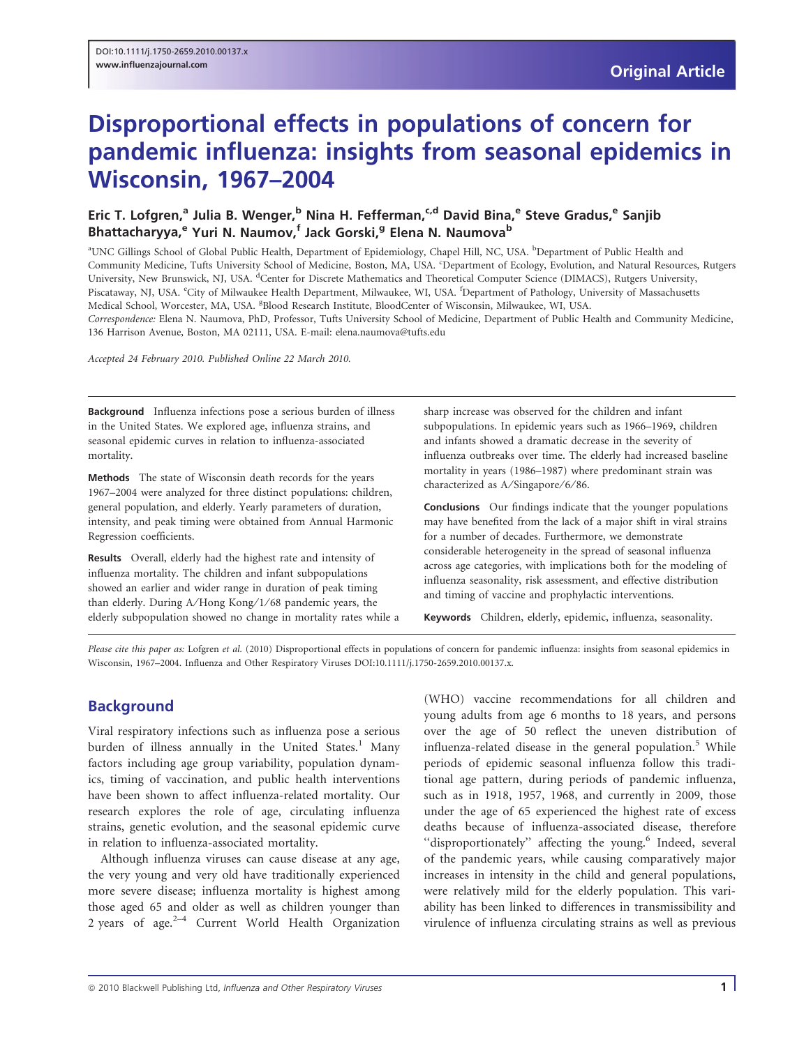# Disproportional effects in populations of concern for pandemic influenza: insights from seasonal epidemics in Wisconsin, 1967–2004

# Eric T. Lofgren,<sup>a</sup> Julia B. Wenger,<sup>b</sup> Nina H. Fefferman,<sup>c,d</sup> David Bina,<sup>e</sup> Steve Gradus,<sup>e</sup> Sanjib Bhattacharyya,<sup>e</sup> Yuri N. Naumov,<sup>f</sup> Jack Gorski,<sup>g</sup> Elena N. Naumova<sup>b</sup>

a UNC Gillings School of Global Public Health, Department of Epidemiology, Chapel Hill, NC, USA. <sup>b</sup> Department of Public Health and Community Medicine, Tufts University School of Medicine, Boston, MA, USA. 'Department of Ecology, Evolution, and Natural Resources, Rutgers University, New Brunswick, NJ, USA. <sup>d</sup>Center for Discrete Mathematics and Theoretical Computer Science (DIMACS), Rutgers University, Piscataway, NJ, USA. City of Milwaukee Health Department, Milwaukee, WI, USA. <sup>f</sup>Department of Pathology, University of Massachusetts Medical School, Worcester, MA, USA. <sup>g</sup>Blood Research Institute, BloodCenter of Wisconsin, Milwaukee, WI, USA. Correspondence: Elena N. Naumova, PhD, Professor, Tufts University School of Medicine, Department of Public Health and Community Medicine, 136 Harrison Avenue, Boston, MA 02111, USA. E-mail: elena.naumova@tufts.edu

Accepted 24 February 2010. Published Online 22 March 2010.

Background Influenza infections pose a serious burden of illness in the United States. We explored age, influenza strains, and seasonal epidemic curves in relation to influenza-associated mortality.

Methods The state of Wisconsin death records for the years 1967–2004 were analyzed for three distinct populations: children, general population, and elderly. Yearly parameters of duration, intensity, and peak timing were obtained from Annual Harmonic Regression coefficients.

Results Overall, elderly had the highest rate and intensity of influenza mortality. The children and infant subpopulations showed an earlier and wider range in duration of peak timing than elderly. During A/Hong Kong/1/68 pandemic years, the elderly subpopulation showed no change in mortality rates while a sharp increase was observed for the children and infant subpopulations. In epidemic years such as 1966–1969, children and infants showed a dramatic decrease in the severity of influenza outbreaks over time. The elderly had increased baseline mortality in years (1986–1987) where predominant strain was characterized as A/Singapore/6/86.

Conclusions Our findings indicate that the younger populations may have benefited from the lack of a major shift in viral strains for a number of decades. Furthermore, we demonstrate considerable heterogeneity in the spread of seasonal influenza across age categories, with implications both for the modeling of influenza seasonality, risk assessment, and effective distribution and timing of vaccine and prophylactic interventions.

Keywords Children, elderly, epidemic, influenza, seasonality.

Please cite this paper as: Lofgren et al. (2010) Disproportional effects in populations of concern for pandemic influenza: insights from seasonal epidemics in Wisconsin, 1967–2004. Influenza and Other Respiratory Viruses DOI:10.1111/j.1750-2659.2010.00137.x.

# **Background**

Viral respiratory infections such as influenza pose a serious burden of illness annually in the United States.<sup>1</sup> Many factors including age group variability, population dynamics, timing of vaccination, and public health interventions have been shown to affect influenza-related mortality. Our research explores the role of age, circulating influenza strains, genetic evolution, and the seasonal epidemic curve in relation to influenza-associated mortality.

Although influenza viruses can cause disease at any age, the very young and very old have traditionally experienced more severe disease; influenza mortality is highest among those aged 65 and older as well as children younger than 2 years of age. $2^{-4}$  Current World Health Organization

(WHO) vaccine recommendations for all children and young adults from age 6 months to 18 years, and persons over the age of 50 reflect the uneven distribution of influenza-related disease in the general population.<sup>5</sup> While periods of epidemic seasonal influenza follow this traditional age pattern, during periods of pandemic influenza, such as in 1918, 1957, 1968, and currently in 2009, those under the age of 65 experienced the highest rate of excess deaths because of influenza-associated disease, therefore "disproportionately" affecting the young.<sup>6</sup> Indeed, several of the pandemic years, while causing comparatively major increases in intensity in the child and general populations, were relatively mild for the elderly population. This variability has been linked to differences in transmissibility and virulence of influenza circulating strains as well as previous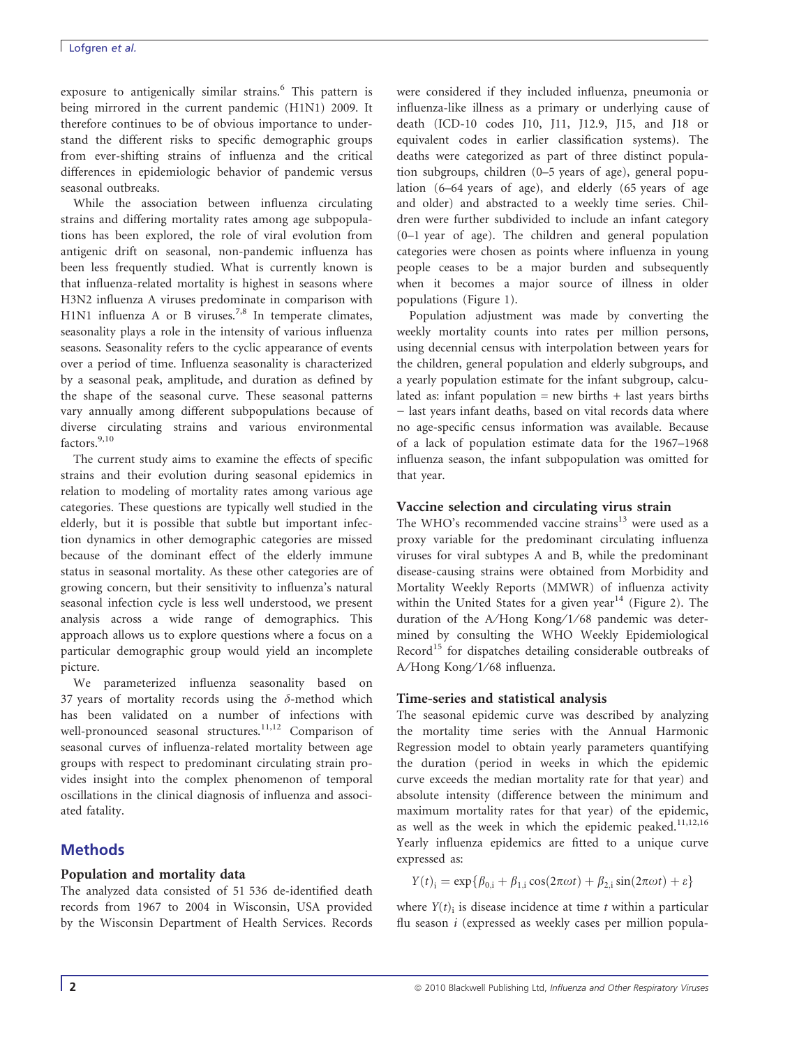#### Lofgren et al.

exposure to antigenically similar strains.<sup>6</sup> This pattern is being mirrored in the current pandemic (H1N1) 2009. It therefore continues to be of obvious importance to understand the different risks to specific demographic groups from ever-shifting strains of influenza and the critical differences in epidemiologic behavior of pandemic versus seasonal outbreaks.

While the association between influenza circulating strains and differing mortality rates among age subpopulations has been explored, the role of viral evolution from antigenic drift on seasonal, non-pandemic influenza has been less frequently studied. What is currently known is that influenza-related mortality is highest in seasons where H3N2 influenza A viruses predominate in comparison with H1N1 influenza A or B viruses.<sup>7,8</sup> In temperate climates, seasonality plays a role in the intensity of various influenza seasons. Seasonality refers to the cyclic appearance of events over a period of time. Influenza seasonality is characterized by a seasonal peak, amplitude, and duration as defined by the shape of the seasonal curve. These seasonal patterns vary annually among different subpopulations because of diverse circulating strains and various environmental factors.<sup>9,10</sup>

The current study aims to examine the effects of specific strains and their evolution during seasonal epidemics in relation to modeling of mortality rates among various age categories. These questions are typically well studied in the elderly, but it is possible that subtle but important infection dynamics in other demographic categories are missed because of the dominant effect of the elderly immune status in seasonal mortality. As these other categories are of growing concern, but their sensitivity to influenza's natural seasonal infection cycle is less well understood, we present analysis across a wide range of demographics. This approach allows us to explore questions where a focus on a particular demographic group would yield an incomplete picture.

We parameterized influenza seasonality based on 37 years of mortality records using the  $\delta$ -method which has been validated on a number of infections with well-pronounced seasonal structures.<sup>11,12</sup> Comparison of seasonal curves of influenza-related mortality between age groups with respect to predominant circulating strain provides insight into the complex phenomenon of temporal oscillations in the clinical diagnosis of influenza and associated fatality.

# Methods

# Population and mortality data

The analyzed data consisted of 51 536 de-identified death records from 1967 to 2004 in Wisconsin, USA provided by the Wisconsin Department of Health Services. Records

were considered if they included influenza, pneumonia or influenza-like illness as a primary or underlying cause of death (ICD-10 codes J10, J11, J12.9, J15, and J18 or equivalent codes in earlier classification systems). The deaths were categorized as part of three distinct population subgroups, children (0–5 years of age), general population (6–64 years of age), and elderly (65 years of age and older) and abstracted to a weekly time series. Children were further subdivided to include an infant category (0–1 year of age). The children and general population categories were chosen as points where influenza in young people ceases to be a major burden and subsequently when it becomes a major source of illness in older populations (Figure 1).

Population adjustment was made by converting the weekly mortality counts into rates per million persons, using decennial census with interpolation between years for the children, general population and elderly subgroups, and a yearly population estimate for the infant subgroup, calculated as: infant population  $=$  new births  $+$  last years births - last years infant deaths, based on vital records data where no age-specific census information was available. Because of a lack of population estimate data for the 1967–1968 influenza season, the infant subpopulation was omitted for that year.

## Vaccine selection and circulating virus strain

The WHO's recommended vaccine strains<sup>13</sup> were used as a proxy variable for the predominant circulating influenza viruses for viral subtypes A and B, while the predominant disease-causing strains were obtained from Morbidity and Mortality Weekly Reports (MMWR) of influenza activity within the United States for a given year<sup>14</sup> (Figure 2). The duration of the A/Hong Kong/1/68 pandemic was determined by consulting the WHO Weekly Epidemiological Record<sup>15</sup> for dispatches detailing considerable outbreaks of A/Hong Kong/1/68 influenza.

# Time-series and statistical analysis

The seasonal epidemic curve was described by analyzing the mortality time series with the Annual Harmonic Regression model to obtain yearly parameters quantifying the duration (period in weeks in which the epidemic curve exceeds the median mortality rate for that year) and absolute intensity (difference between the minimum and maximum mortality rates for that year) of the epidemic, as well as the week in which the epidemic peaked. $11,12,16$ Yearly influenza epidemics are fitted to a unique curve expressed as:

$$
Y(t)_{i} = \exp\{\beta_{0,i} + \beta_{1,i}\cos(2\pi\omega t) + \beta_{2,i}\sin(2\pi\omega t) + \varepsilon\}
$$

where  $Y(t)$ <sub>i</sub> is disease incidence at time t within a particular flu season i (expressed as weekly cases per million popula-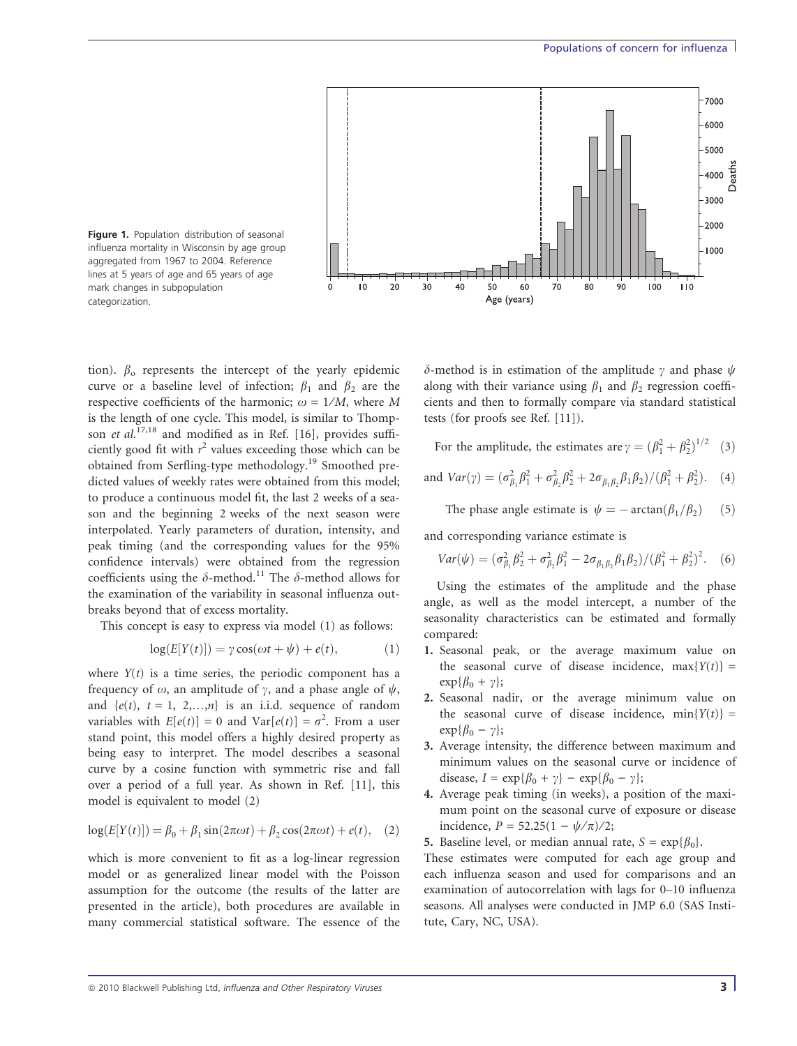



tion).  $\beta_0$  represents the intercept of the yearly epidemic curve or a baseline level of infection;  $\beta_1$  and  $\beta_2$  are the respective coefficients of the harmonic;  $\omega = 1/M$ , where M is the length of one cycle. This model, is similar to Thompson et al.<sup>17,18</sup> and modified as in Ref. [16], provides sufficiently good fit with  $r^2$  values exceeding those which can be obtained from Serfling-type methodology.<sup>19</sup> Smoothed predicted values of weekly rates were obtained from this model; to produce a continuous model fit, the last 2 weeks of a season and the beginning 2 weeks of the next season were interpolated. Yearly parameters of duration, intensity, and peak timing (and the corresponding values for the 95% confidence intervals) were obtained from the regression coefficients using the  $\delta$ -method.<sup>11</sup> The  $\delta$ -method allows for the examination of the variability in seasonal influenza outbreaks beyond that of excess mortality.

This concept is easy to express via model (1) as follows:

$$
log(E[Y(t)]) = \gamma \cos(\omega t + \psi) + e(t), \qquad (1)
$$

where  $Y(t)$  is a time series, the periodic component has a frequency of  $\omega$ , an amplitude of  $\gamma$ , and a phase angle of  $\psi$ , and  $\{e(t), t = 1, 2,...,n\}$  is an i.i.d. sequence of random variables with  $E[e(t)] = 0$  and  $Var[e(t)] = \sigma^2$ . From a user stand point, this model offers a highly desired property as being easy to interpret. The model describes a seasonal curve by a cosine function with symmetric rise and fall over a period of a full year. As shown in Ref. [11], this model is equivalent to model (2)

$$
log(E[Y(t)]) = \beta_0 + \beta_1 sin(2\pi \omega t) + \beta_2 cos(2\pi \omega t) + e(t),
$$
 (2)

which is more convenient to fit as a log-linear regression model or as generalized linear model with the Poisson assumption for the outcome (the results of the latter are presented in the article), both procedures are available in many commercial statistical software. The essence of the  $\delta$ -method is in estimation of the amplitude  $\gamma$  and phase  $\psi$ along with their variance using  $\beta_1$  and  $\beta_2$  regression coefficients and then to formally compare via standard statistical tests (for proofs see Ref. [11]).

For the amplitude, the estimates are  $\gamma = (\beta_1^2 + \beta_2^2)^{1/2}$  (3)

and 
$$
Var(\gamma) = (\sigma_{\beta_1}^2 \beta_1^2 + \sigma_{\beta_2}^2 \beta_2^2 + 2\sigma_{\beta_1 \beta_2} \beta_1 \beta_2) / (\beta_1^2 + \beta_2^2)
$$
. (4)

The phase angle estimate is  $\psi = -\arctan(\beta_1/\beta_2)$  (5)

and corresponding variance estimate is

$$
Var(\psi) = (\sigma_{\beta_1}^2 \beta_2^2 + \sigma_{\beta_2}^2 \beta_1^2 - 2\sigma_{\beta_1 \beta_2} \beta_1 \beta_2) / (\beta_1^2 + \beta_2^2)^2.
$$
 (6)

Using the estimates of the amplitude and the phase angle, as well as the model intercept, a number of the seasonality characteristics can be estimated and formally compared:

- 1. Seasonal peak, or the average maximum value on the seasonal curve of disease incidence,  $max{Y(t)}$  =  $\exp{\{\beta_0 + \gamma\}};$
- 2. Seasonal nadir, or the average minimum value on the seasonal curve of disease incidence,  $min{Y(t)}$  =  $\exp{\{\beta_0 - \gamma\}};$
- 3. Average intensity, the difference between maximum and minimum values on the seasonal curve or incidence of disease,  $I = \exp{\{\beta_0 + \gamma\}} - \exp{\{\beta_0 - \gamma\}};$
- 4. Average peak timing (in weeks), a position of the maximum point on the seasonal curve of exposure or disease incidence,  $P = 52.25(1 - \sqrt{\pi})/2$ ;
- 5. Baseline level, or median annual rate,  $S = \exp{\{\beta_0\}}$ .

These estimates were computed for each age group and each influenza season and used for comparisons and an examination of autocorrelation with lags for 0–10 influenza seasons. All analyses were conducted in JMP 6.0 (SAS Institute, Cary, NC, USA).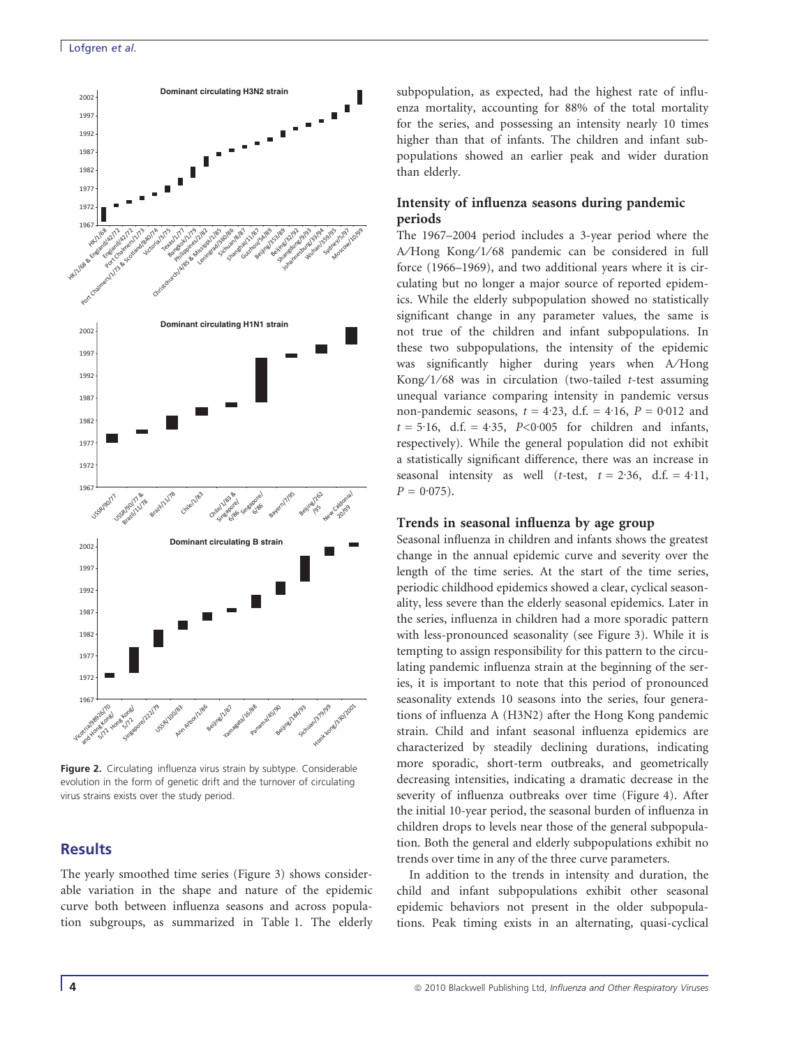

Figure 2. Circulating influenza virus strain by subtype. Considerable evolution in the form of genetic drift and the turnover of circulating virus strains exists over the study period.

# **Results**

The yearly smoothed time series (Figure 3) shows considerable variation in the shape and nature of the epidemic curve both between influenza seasons and across population subgroups, as summarized in Table 1. The elderly subpopulation, as expected, had the highest rate of influenza mortality, accounting for 88% of the total mortality for the series, and possessing an intensity nearly 10 times higher than that of infants. The children and infant subpopulations showed an earlier peak and wider duration than elderly.

#### Intensity of influenza seasons during pandemic periods

The 1967–2004 period includes a 3-year period where the A/Hong Kong/1/68 pandemic can be considered in full force (1966–1969), and two additional years where it is circulating but no longer a major source of reported epidemics. While the elderly subpopulation showed no statistically significant change in any parameter values, the same is not true of the children and infant subpopulations. In these two subpopulations, the intensity of the epidemic was significantly higher during years when A⁄Hong Kong/1/68 was in circulation (two-tailed  $t$ -test assuming unequal variance comparing intensity in pandemic versus non-pandemic seasons,  $t = 4.23$ , d.f. =  $4.16$ ,  $P = 0.012$  and  $t = 5.16$ , d.f. = 4.35, P<0.005 for children and infants, respectively). While the general population did not exhibit a statistically significant difference, there was an increase in seasonal intensity as well (t-test,  $t = 2.36$ , d.f. = 4.11,  $P = 0.075$ .

#### Trends in seasonal influenza by age group

Seasonal influenza in children and infants shows the greatest change in the annual epidemic curve and severity over the length of the time series. At the start of the time series, periodic childhood epidemics showed a clear, cyclical seasonality, less severe than the elderly seasonal epidemics. Later in the series, influenza in children had a more sporadic pattern with less-pronounced seasonality (see Figure 3). While it is tempting to assign responsibility for this pattern to the circulating pandemic influenza strain at the beginning of the series, it is important to note that this period of pronounced seasonality extends 10 seasons into the series, four generations of influenza A (H3N2) after the Hong Kong pandemic strain. Child and infant seasonal influenza epidemics are characterized by steadily declining durations, indicating more sporadic, short-term outbreaks, and geometrically decreasing intensities, indicating a dramatic decrease in the severity of influenza outbreaks over time (Figure 4). After the initial 10-year period, the seasonal burden of influenza in children drops to levels near those of the general subpopulation. Both the general and elderly subpopulations exhibit no trends over time in any of the three curve parameters.

In addition to the trends in intensity and duration, the child and infant subpopulations exhibit other seasonal epidemic behaviors not present in the older subpopulations. Peak timing exists in an alternating, quasi-cyclical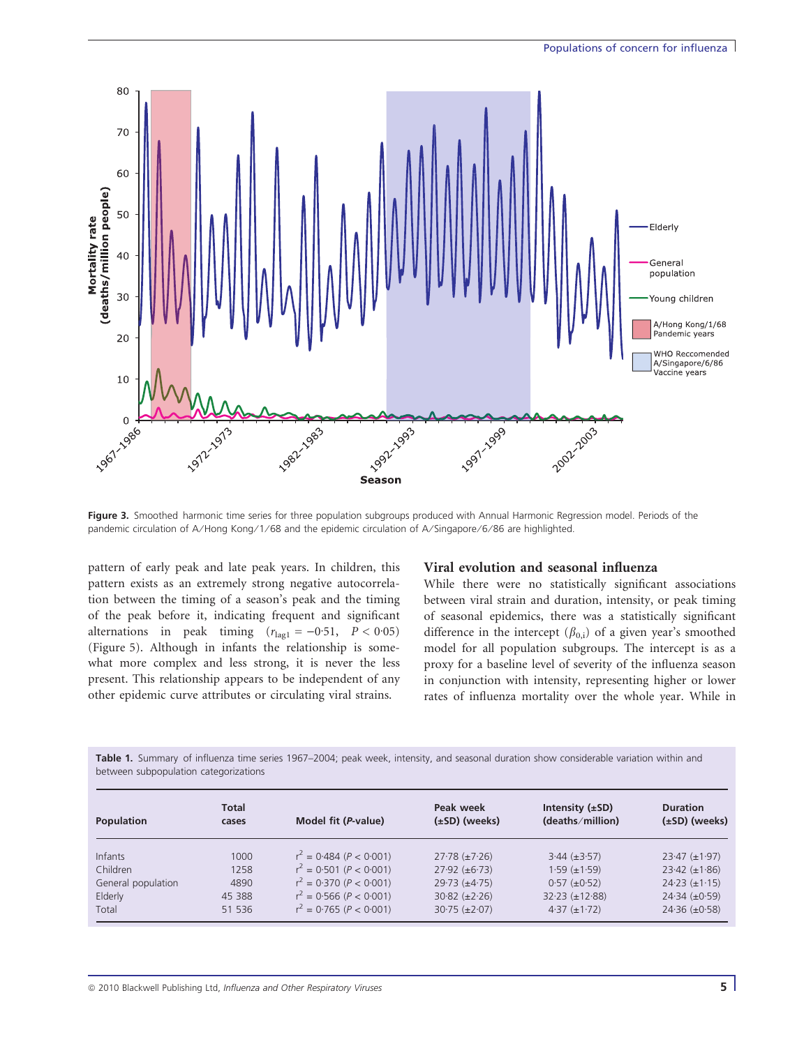

Figure 3. Smoothed harmonic time series for three population subgroups produced with Annual Harmonic Regression model. Periods of the pandemic circulation of A/Hong Kong/1/68 and the epidemic circulation of A/Singapore/6/86 are highlighted.

pattern of early peak and late peak years. In children, this pattern exists as an extremely strong negative autocorrelation between the timing of a season's peak and the timing of the peak before it, indicating frequent and significant alternations in peak timing  $(r_{\text{lag1}} = -0.51, P < 0.05)$ (Figure 5). Although in infants the relationship is somewhat more complex and less strong, it is never the less present. This relationship appears to be independent of any other epidemic curve attributes or circulating viral strains.

#### Viral evolution and seasonal influenza

While there were no statistically significant associations between viral strain and duration, intensity, or peak timing of seasonal epidemics, there was a statistically significant difference in the intercept  $(\beta_{0,i})$  of a given year's smoothed model for all population subgroups. The intercept is as a proxy for a baseline level of severity of the influenza season in conjunction with intensity, representing higher or lower rates of influenza mortality over the whole year. While in

Table 1. Summary of influenza time series 1967–2004; peak week, intensity, and seasonal duration show considerable variation within and between subpopulation categorizations

| Population         | <b>Total</b><br>cases | Model fit ( <i>P</i> -value) | Peak week<br>$(\pm SD)$ (weeks) | Intensity $(\pm SD)$<br>(deaths/million) | <b>Duration</b><br>$(\pm SD)$ (weeks) |
|--------------------|-----------------------|------------------------------|---------------------------------|------------------------------------------|---------------------------------------|
| Infants            | 1000                  | $r^2 = 0.484 (P < 0.001)$    | $27.78 (\pm 7.26)$              | $3.44 \ (\pm 3.57)$                      | $23.47 (\pm 1.97)$                    |
| Children           | 1258                  | $r^2 = 0.501 (P < 0.001)$    | $27.92 \ (\pm 6.73)$            | $1.59 \ (\pm 1.59)$                      | $23.42 (\pm 1.86)$                    |
| General population | 4890                  | $r^2 = 0.370 (P < 0.001)$    | $29.73 \ (\pm 4.75)$            | $0.57 (\pm 0.52)$                        | $24.23 (\pm 1.15)$                    |
| Elderly            | 45 388                | $r^2 = 0.566 (P < 0.001)$    | $30.82 \ (\pm 2.26)$            | $32.23 (\pm 12.88)$                      | $24.34 \ (\pm 0.59)$                  |
| Total              | 51 536                | $r^2 = 0.765 (P < 0.001)$    | $30.75 (\pm 2.07)$              | $4.37 (\pm 1.72)$                        | $24.36 (\pm 0.58)$                    |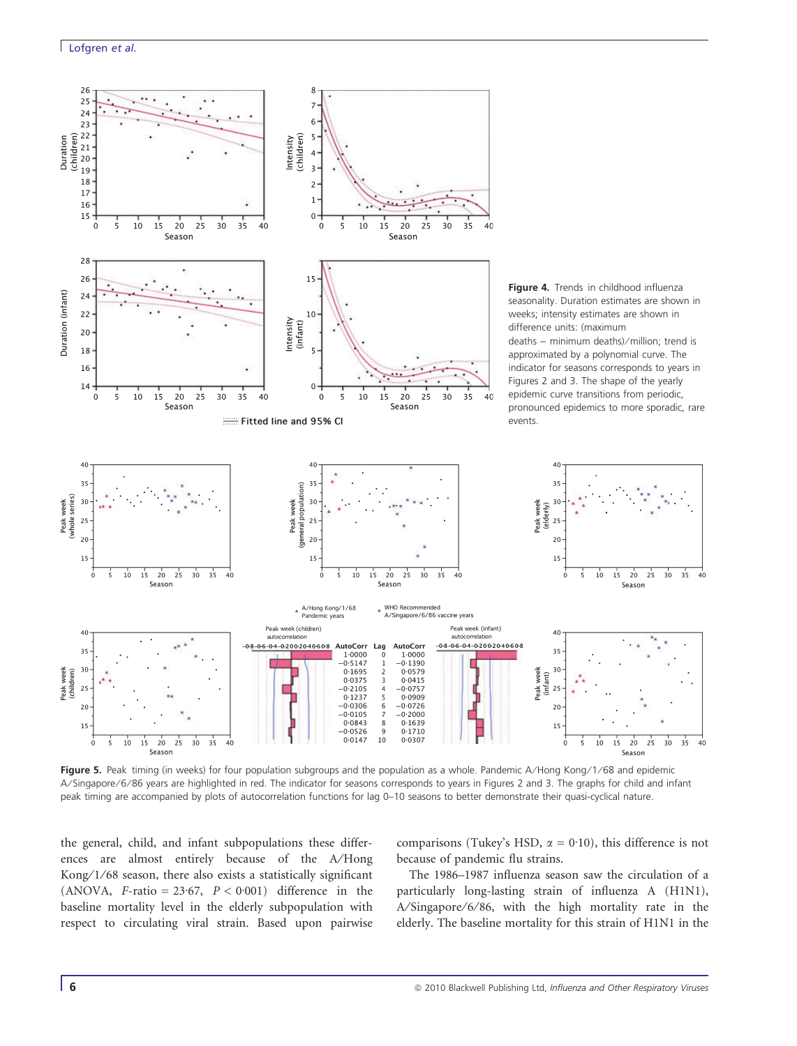

Figure 5. Peak timing (in weeks) for four population subgroups and the population as a whole. Pandemic A/Hong Kong/1/68 and epidemic A/Singapore/6/86 years are highlighted in red. The indicator for seasons corresponds to years in Figures 2 and 3. The graphs for child and infant peak timing are accompanied by plots of autocorrelation functions for lag 0–10 seasons to better demonstrate their quasi-cyclical nature.

the general, child, and infant subpopulations these differences are almost entirely because of the A⁄Hong Kong/1/68 season, there also exists a statistically significant (ANOVA, F-ratio =  $23.67$ ,  $P < 0.001$ ) difference in the baseline mortality level in the elderly subpopulation with respect to circulating viral strain. Based upon pairwise

comparisons (Tukey's HSD,  $\alpha = 0.10$ ), this difference is not because of pandemic flu strains.

The 1986–1987 influenza season saw the circulation of a particularly long-lasting strain of influenza A (H1N1), A/Singapore/6/86, with the high mortality rate in the elderly. The baseline mortality for this strain of H1N1 in the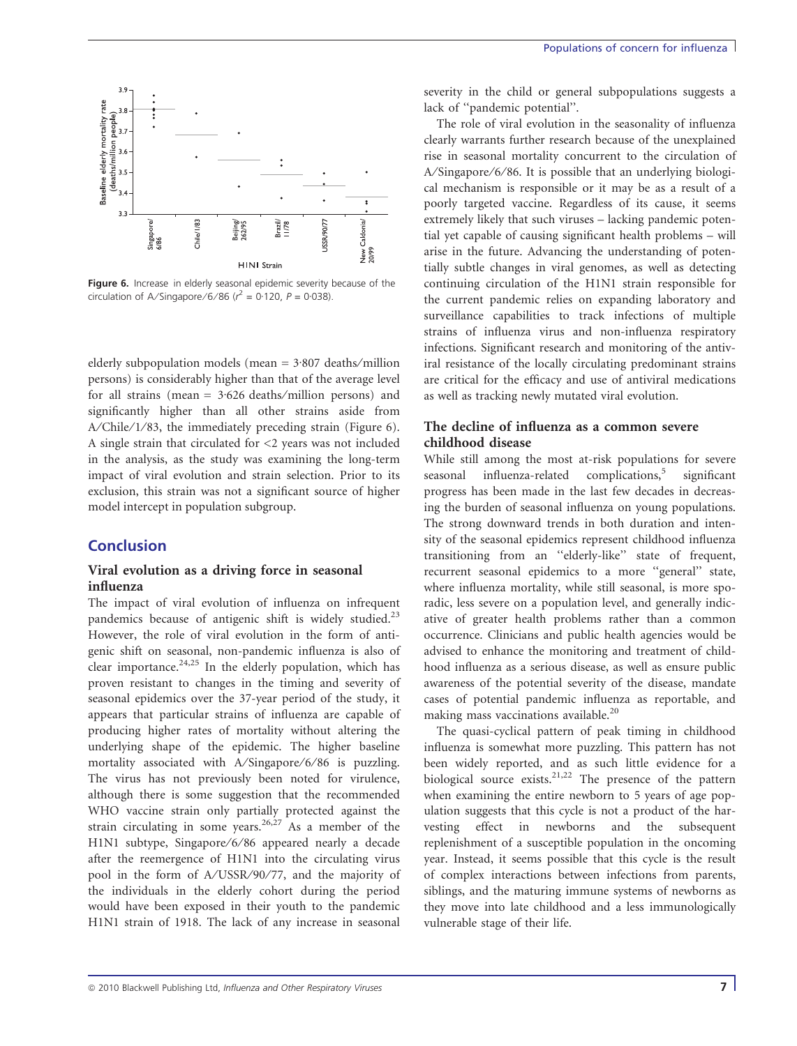

Figure 6. Increase in elderly seasonal epidemic severity because of the circulation of A/Singapore/6/86 ( $r^2 = 0.120$ ,  $P = 0.038$ ).

elderly subpopulation models (mean  $= 3.807$  deaths/million persons) is considerably higher than that of the average level for all strains (mean  $= 3.626$  deaths/million persons) and significantly higher than all other strains aside from A/Chile/1/83, the immediately preceding strain (Figure 6). A single strain that circulated for <2 years was not included in the analysis, as the study was examining the long-term impact of viral evolution and strain selection. Prior to its exclusion, this strain was not a significant source of higher model intercept in population subgroup.

# **Conclusion**

#### Viral evolution as a driving force in seasonal influenza

The impact of viral evolution of influenza on infrequent pandemics because of antigenic shift is widely studied.<sup>23</sup> However, the role of viral evolution in the form of antigenic shift on seasonal, non-pandemic influenza is also of clear importance.<sup>24,25</sup> In the elderly population, which has proven resistant to changes in the timing and severity of seasonal epidemics over the 37-year period of the study, it appears that particular strains of influenza are capable of producing higher rates of mortality without altering the underlying shape of the epidemic. The higher baseline mortality associated with A/Singapore/6/86 is puzzling. The virus has not previously been noted for virulence, although there is some suggestion that the recommended WHO vaccine strain only partially protected against the strain circulating in some years.<sup>26,27</sup> As a member of the H1N1 subtype, Singapore/6/86 appeared nearly a decade after the reemergence of H1N1 into the circulating virus pool in the form of A/USSR/90/77, and the majority of the individuals in the elderly cohort during the period would have been exposed in their youth to the pandemic H1N1 strain of 1918. The lack of any increase in seasonal severity in the child or general subpopulations suggests a lack of ''pandemic potential''.

The role of viral evolution in the seasonality of influenza clearly warrants further research because of the unexplained rise in seasonal mortality concurrent to the circulation of A/Singapore/6/86. It is possible that an underlying biological mechanism is responsible or it may be as a result of a poorly targeted vaccine. Regardless of its cause, it seems extremely likely that such viruses – lacking pandemic potential yet capable of causing significant health problems – will arise in the future. Advancing the understanding of potentially subtle changes in viral genomes, as well as detecting continuing circulation of the H1N1 strain responsible for the current pandemic relies on expanding laboratory and surveillance capabilities to track infections of multiple strains of influenza virus and non-influenza respiratory infections. Significant research and monitoring of the antiviral resistance of the locally circulating predominant strains are critical for the efficacy and use of antiviral medications as well as tracking newly mutated viral evolution.

# The decline of influenza as a common severe childhood disease

While still among the most at-risk populations for severe seasonal influenza-related complications, $5$  significant progress has been made in the last few decades in decreasing the burden of seasonal influenza on young populations. The strong downward trends in both duration and intensity of the seasonal epidemics represent childhood influenza transitioning from an ''elderly-like'' state of frequent, recurrent seasonal epidemics to a more ''general'' state, where influenza mortality, while still seasonal, is more sporadic, less severe on a population level, and generally indicative of greater health problems rather than a common occurrence. Clinicians and public health agencies would be advised to enhance the monitoring and treatment of childhood influenza as a serious disease, as well as ensure public awareness of the potential severity of the disease, mandate cases of potential pandemic influenza as reportable, and making mass vaccinations available.<sup>20</sup>

The quasi-cyclical pattern of peak timing in childhood influenza is somewhat more puzzling. This pattern has not been widely reported, and as such little evidence for a biological source exists.<sup>21,22</sup> The presence of the pattern when examining the entire newborn to 5 years of age population suggests that this cycle is not a product of the harvesting effect in newborns and the subsequent replenishment of a susceptible population in the oncoming year. Instead, it seems possible that this cycle is the result of complex interactions between infections from parents, siblings, and the maturing immune systems of newborns as they move into late childhood and a less immunologically vulnerable stage of their life.